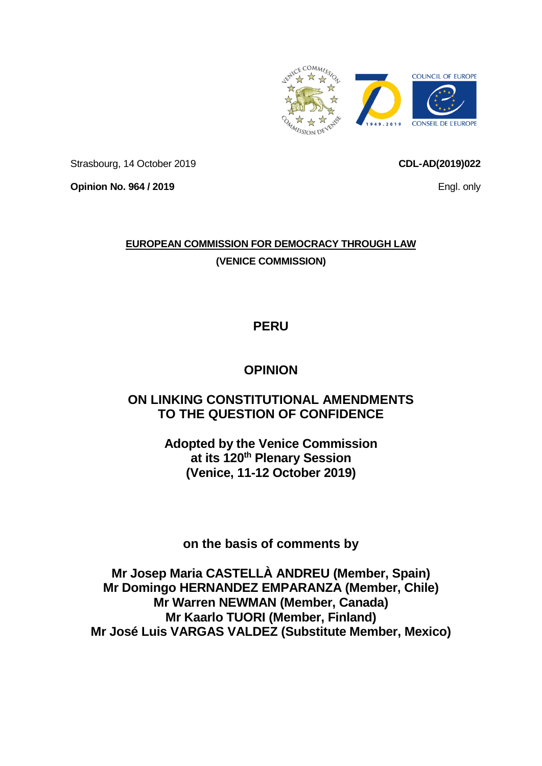

Strasbourg, 14 October 2019

**Opinion No. 964 / 2019**

### **EUROPEAN COMMISSION FOR DEMOCRACY THROUGH LAW (VENICE COMMISSION)**

# **PERU**

# **OPINION**

## **ON LINKING CONSTITUTIONAL AMENDMENTS TO THE QUESTION OF CONFIDENCE**

**Adopted by the Venice Commission at its 120th Plenary Session (Venice, 11-12 October 2019)**

**on the basis of comments by**

**Mr Josep Maria CASTELLÀ ANDREU (Member, Spain) Mr Domingo HERNANDEZ EMPARANZA (Member, Chile) Mr Warren NEWMAN (Member, Canada) Mr Kaarlo TUORI (Member, Finland) Mr José Luis VARGAS VALDEZ (Substitute Member, Mexico)**

<span id="page-0-0"></span>

Engl. only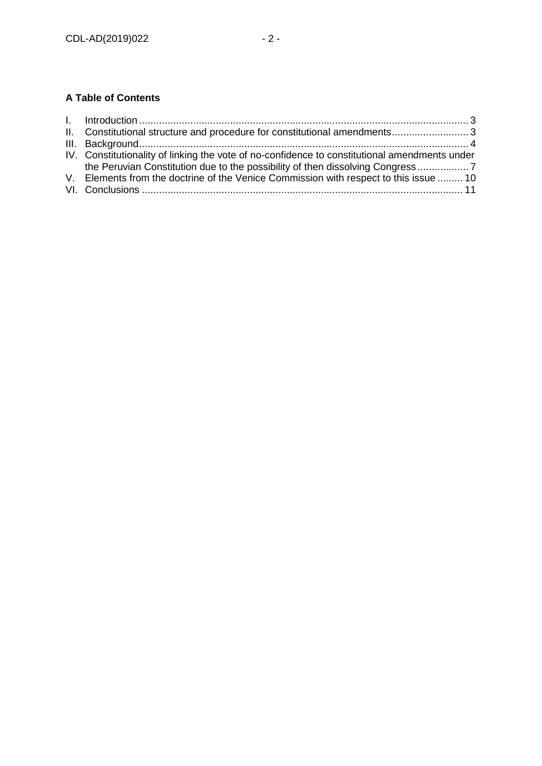### **A Table of Contents**

| II. Constitutional structure and procedure for constitutional amendments 3                    |
|-----------------------------------------------------------------------------------------------|
|                                                                                               |
| IV. Constitutionality of linking the vote of no-confidence to constitutional amendments under |
| the Peruvian Constitution due to the possibility of then dissolving Congress                  |
| V. Elements from the doctrine of the Venice Commission with respect to this issue  10         |
|                                                                                               |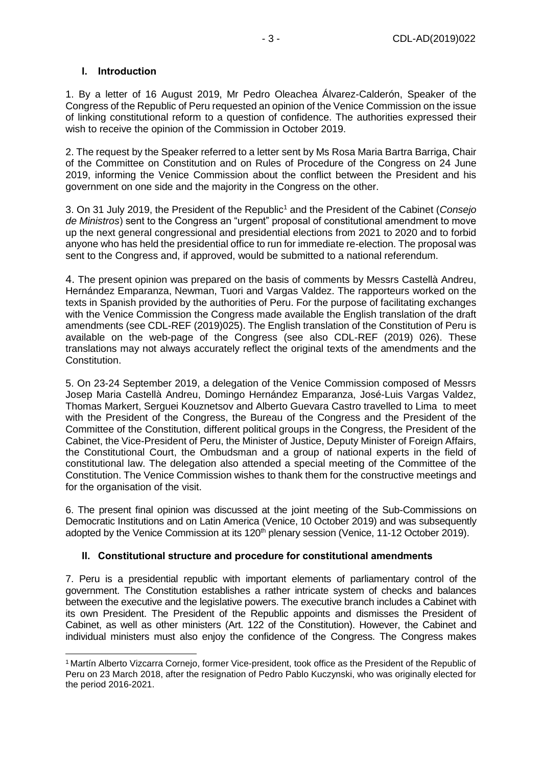### <span id="page-2-0"></span>**I. Introduction**

1. By a letter of 16 August 2019, Mr Pedro Oleachea Álvarez-Calderón, Speaker of the Congress of the Republic of Peru requested an opinion of the Venice Commission on the issue of linking constitutional reform to a question of confidence. The authorities expressed their wish to receive the opinion of the Commission in October 2019.

2. The request by the Speaker referred to a letter sent by Ms Rosa Maria Bartra Barriga, Chair of the Committee on Constitution and on Rules of Procedure of the Congress on 24 June 2019, informing the Venice Commission about the conflict between the President and his government on one side and the majority in the Congress on the other.

3. On 31 July 2019, the President of the Republic<sup>1</sup> and the President of the Cabinet (*Consejo de Ministros*) sent to the Congress an "urgent" proposal of constitutional amendment to move up the next general congressional and presidential elections from 2021 to 2020 and to forbid anyone who has held the presidential office to run for immediate re-election. The proposal was sent to the Congress and, if approved, would be submitted to a national referendum.

4. The present opinion was prepared on the basis of comments by Messrs Castellà Andreu, Hernández Emparanza, Newman, Tuori and Vargas Valdez. The rapporteurs worked on the texts in Spanish provided by the authorities of Peru. For the purpose of facilitating exchanges with the Venice Commission the Congress made available the English translation of the draft amendments (see CDL-REF (2019)025). The English translation of the Constitution of Peru is available on the web-page of the Congress (see also CDL-REF (2019) 026). These translations may not always accurately reflect the original texts of the amendments and the Constitution.

5. On 23-24 September 2019, a delegation of the Venice Commission composed of Messrs Josep Maria Castellà Andreu, Domingo Hernández Emparanza, José-Luis Vargas Valdez, Thomas Markert, Serguei Kouznetsov and Alberto Guevara Castro travelled to Lima to meet with the President of the Congress, the Bureau of the Congress and the President of the Committee of the Constitution, different political groups in the Congress, the President of the Cabinet, the Vice-President of Peru, the Minister of Justice, Deputy Minister of Foreign Affairs, the Constitutional Court, the Ombudsman and a group of national experts in the field of constitutional law. The delegation also attended a special meeting of the Committee of the Constitution. The Venice Commission wishes to thank them for the constructive meetings and for the organisation of the visit.

6. The present final opinion was discussed at the joint meeting of the Sub-Commissions on Democratic Institutions and on Latin America (Venice, 10 October 2019) and was subsequently adopted by the Venice Commission at its 120<sup>th</sup> plenary session (Venice, 11-12 October 2019).

### <span id="page-2-1"></span>**II. Constitutional structure and procedure for constitutional amendments**

7. Peru is a presidential republic with important elements of parliamentary control of the government. The Constitution establishes a rather intricate system of checks and balances between the executive and the legislative powers. The executive branch includes a Cabinet with its own President. The President of the Republic appoints and dismisses the President of Cabinet, as well as other ministers (Art. 122 of the Constitution). However, the Cabinet and individual ministers must also enjoy the confidence of the Congress. The Congress makes

<sup>-</sup><sup>1</sup> Martín Alberto Vizcarra Cornejo, former Vice-president, took office as the President of the Republic of Peru on 23 March 2018, after the resignation of Pedro Pablo Kuczynski, who was originally elected for the period 2016-2021.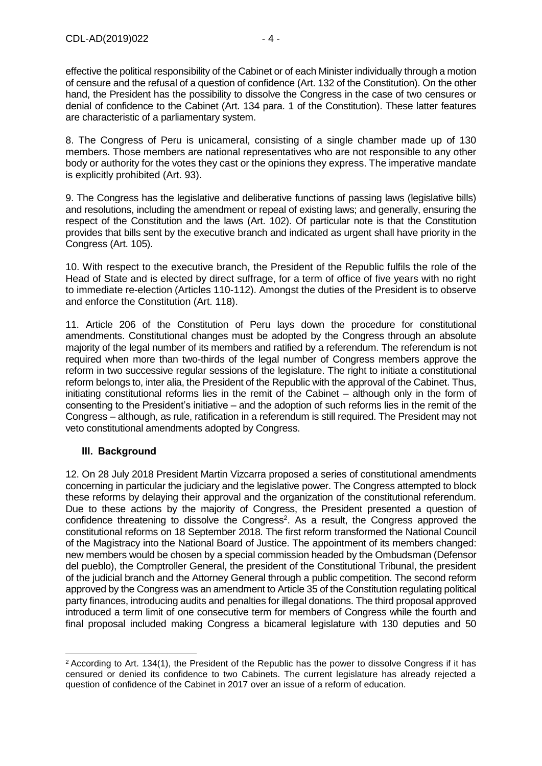effective the political responsibility of the Cabinet or of each Minister individually through a motion of censure and the refusal of a question of confidence (Art. 132 of the Constitution). On the other hand, the President has the possibility to dissolve the Congress in the case of two censures or denial of confidence to the Cabinet (Art. 134 para. 1 of the Constitution). These latter features are characteristic of a parliamentary system.

8. The Congress of Peru is unicameral, consisting of a single chamber made up of 130 members. Those members are national representatives who are not responsible to any other body or authority for the votes they cast or the opinions they express. The imperative mandate is explicitly prohibited (Art. 93).

9. The Congress has the legislative and deliberative functions of passing laws (legislative bills) and resolutions, including the amendment or repeal of existing laws; and generally, ensuring the respect of the Constitution and the laws (Art. 102). Of particular note is that the Constitution provides that bills sent by the executive branch and indicated as urgent shall have priority in the Congress (Art. 105).

10. With respect to the executive branch, the President of the Republic fulfils the role of the Head of State and is elected by direct suffrage, for a term of office of five years with no right to immediate re-election (Articles 110-112). Amongst the duties of the President is to observe and enforce the Constitution (Art. 118).

11. Article 206 of the Constitution of Peru lays down the procedure for constitutional amendments. Constitutional changes must be adopted by the Congress through an absolute majority of the legal number of its members and ratified by a referendum. The referendum is not required when more than two-thirds of the legal number of Congress members approve the reform in two successive regular sessions of the legislature. The right to initiate a constitutional reform belongs to, inter alia, the President of the Republic with the approval of the Cabinet. Thus, initiating constitutional reforms lies in the remit of the Cabinet – although only in the form of consenting to the President's initiative – and the adoption of such reforms lies in the remit of the Congress – although, as rule, ratification in a referendum is still required. The President may not veto constitutional amendments adopted by Congress.

### <span id="page-3-0"></span>**III. Background**

12. On 28 July 2018 President Martin Vizcarra proposed a series of constitutional amendments concerning in particular the judiciary and the legislative power. The Congress attempted to block these reforms by delaying their approval and the organization of the constitutional referendum. Due to these actions by the majority of Congress, the President presented a question of confidence threatening to dissolve the Congress<sup>2</sup>. As a result, the Congress approved the constitutional reforms on 18 September 2018. The first reform transformed the National Council of the Magistracy into the National Board of Justice. The appointment of its members changed: new members would be chosen by a special commission headed by the Ombudsman (Defensor del pueblo), the Comptroller General, the president of the Constitutional Tribunal, the president of the judicial branch and the Attorney General through a public competition. The second reform approved by the Congress was an amendment to Article 35 of the Constitution regulating political party finances, introducing audits and penalties for illegal donations. The third proposal approved introduced a term limit of one consecutive term for members of Congress while the fourth and final proposal included making Congress a bicameral legislature with 130 deputies and 50

<sup>-</sup><sup>2</sup> According to Art. 134(1), the President of the Republic has the power to dissolve Congress if it has censured or denied its confidence to two Cabinets. The current legislature has already rejected a question of confidence of the Cabinet in 2017 over an issue of a reform of education.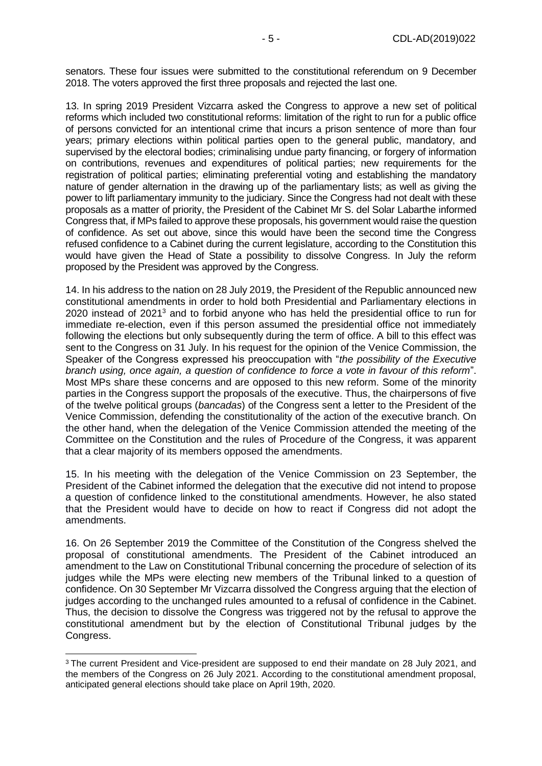senators. These four issues were submitted to the constitutional referendum on 9 December 2018. The voters approved the first three proposals and rejected the last one.

13. In spring 2019 President Vizcarra asked the Congress to approve a new set of political reforms which included two constitutional reforms: limitation of the right to run for a public office of persons convicted for an intentional crime that incurs a prison sentence of more than four years; primary elections within political parties open to the general public, mandatory, and supervised by the electoral bodies; criminalising undue party financing, or forgery of information on contributions, revenues and expenditures of political parties; new requirements for the registration of political parties; eliminating preferential voting and establishing the mandatory nature of gender alternation in the drawing up of the parliamentary lists; as well as giving the power to lift parliamentary immunity to the judiciary. Since the Congress had not dealt with these proposals as a matter of priority, the President of the Cabinet Mr S. del Solar Labarthe informed Congress that, if MPs failed to approve these proposals, his government would raise the question of confidence. As set out above, since this would have been the second time the Congress refused confidence to a Cabinet during the current legislature, according to the Constitution this would have given the Head of State a possibility to dissolve Congress. In July the reform proposed by the President was approved by the Congress.

14. In his address to the nation on 28 July 2019, the President of the Republic announced new constitutional amendments in order to hold both Presidential and Parliamentary elections in 2020 instead of 2021<sup>3</sup> and to forbid anyone who has held the presidential office to run for immediate re-election, even if this person assumed the presidential office not immediately following the elections but only subsequently during the term of office. A bill to this effect was sent to the Congress on 31 July. In his request for the opinion of the Venice Commission, the Speaker of the Congress expressed his preoccupation with "*the possibility of the Executive branch using, once again, a question of confidence to force a vote in favour of this reform*". Most MPs share these concerns and are opposed to this new reform. Some of the minority parties in the Congress support the proposals of the executive. Thus, the chairpersons of five of the twelve political groups (*bancadas*) of the Congress sent a letter to the President of the Venice Commission, defending the constitutionality of the action of the executive branch. On the other hand, when the delegation of the Venice Commission attended the meeting of the Committee on the Constitution and the rules of Procedure of the Congress, it was apparent that a clear majority of its members opposed the amendments.

15. In his meeting with the delegation of the Venice Commission on 23 September, the President of the Cabinet informed the delegation that the executive did not intend to propose a question of confidence linked to the constitutional amendments. However, he also stated that the President would have to decide on how to react if Congress did not adopt the amendments.

16. On 26 September 2019 the Committee of the Constitution of the Congress shelved the proposal of constitutional amendments. The President of the Cabinet introduced an amendment to the Law on Constitutional Tribunal concerning the procedure of selection of its judges while the MPs were electing new members of the Tribunal linked to a question of confidence. On 30 September Mr Vizcarra dissolved the Congress arguing that the election of judges according to the unchanged rules amounted to a refusal of confidence in the Cabinet. Thus, the decision to dissolve the Congress was triggered not by the refusal to approve the constitutional amendment but by the election of Constitutional Tribunal judges by the Congress.

-

<sup>&</sup>lt;sup>3</sup> The current President and Vice-president are supposed to end their mandate on 28 July 2021, and the members of the Congress on 26 July 2021. According to the constitutional amendment proposal, anticipated general elections should take place on April 19th, 2020.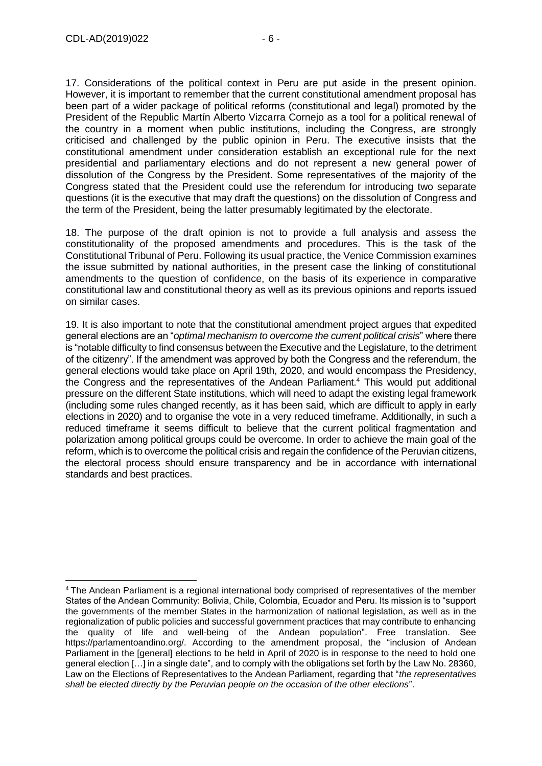-

17. Considerations of the political context in Peru are put aside in the present opinion. However, it is important to remember that the current constitutional amendment proposal has been part of a wider package of political reforms (constitutional and legal) promoted by the President of the Republic Martín Alberto Vizcarra Cornejo as a tool for a political renewal of the country in a moment when public institutions, including the Congress, are strongly criticised and challenged by the public opinion in Peru. The executive insists that the constitutional amendment under consideration establish an exceptional rule for the next presidential and parliamentary elections and do not represent a new general power of dissolution of the Congress by the President. Some representatives of the majority of the Congress stated that the President could use the referendum for introducing two separate questions (it is the executive that may draft the questions) on the dissolution of Congress and the term of the President, being the latter presumably legitimated by the electorate.

18. The purpose of the draft opinion is not to provide a full analysis and assess the constitutionality of the proposed amendments and procedures. This is the task of the Constitutional Tribunal of Peru. Following its usual practice, the Venice Commission examines the issue submitted by national authorities, in the present case the linking of constitutional amendments to the question of confidence, on the basis of its experience in comparative constitutional law and constitutional theory as well as its previous opinions and reports issued on similar cases.

19. It is also important to note that the constitutional amendment project argues that expedited general elections are an "*optimal mechanism to overcome the current political crisis*" where there is "notable difficulty to find consensus between the Executive and the Legislature, to the detriment of the citizenry". If the amendment was approved by both the Congress and the referendum, the general elections would take place on April 19th, 2020, and would encompass the Presidency, the Congress and the representatives of the Andean Parliament.<sup>4</sup> This would put additional pressure on the different State institutions, which will need to adapt the existing legal framework (including some rules changed recently, as it has been said, which are difficult to apply in early elections in 2020) and to organise the vote in a very reduced timeframe. Additionally, in such a reduced timeframe it seems difficult to believe that the current political fragmentation and polarization among political groups could be overcome. In order to achieve the main goal of the reform, which is to overcome the political crisis and regain the confidence of the Peruvian citizens, the electoral process should ensure transparency and be in accordance with international standards and best practices.

<sup>4</sup> The Andean Parliament is a regional international body comprised of representatives of the member States of the Andean Community: Bolivia, Chile, Colombia, Ecuador and Peru. Its mission is to "support the governments of the member States in the harmonization of national legislation, as well as in the regionalization of public policies and successful government practices that may contribute to enhancing the quality of life and well-being of the Andean population". Free translation. See https://parlamentoandino.org/. According to the amendment proposal, the "inclusion of Andean Parliament in the [general] elections to be held in April of 2020 is in response to the need to hold one general election […] in a single date", and to comply with the obligations set forth by the Law No. 28360, Law on the Elections of Representatives to the Andean Parliament, regarding that "*the representatives shall be elected directly by the Peruvian people on the occasion of the other elections*".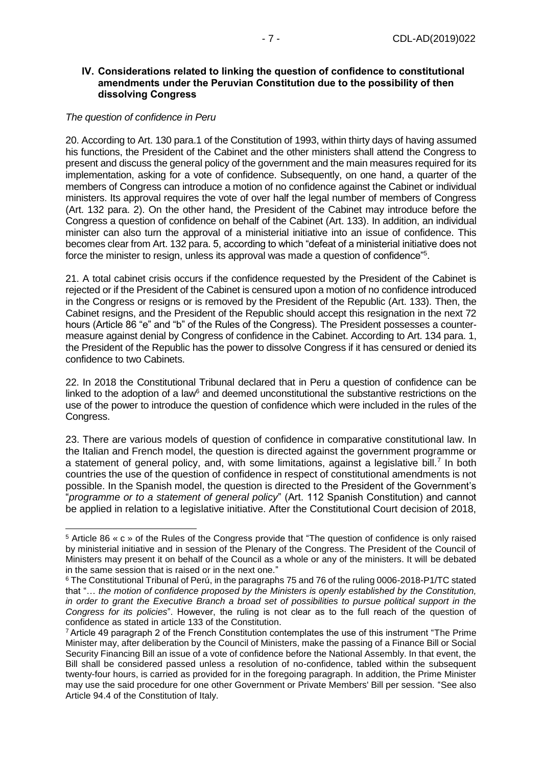#### <span id="page-6-0"></span>**IV. Considerations related to linking the question of confidence to constitutional amendments under the Peruvian Constitution due to the possibility of then dissolving Congress**

#### *The question of confidence in Peru*

-

20. According to Art. 130 para.1 of the Constitution of 1993, within thirty days of having assumed his functions, the President of the Cabinet and the other ministers shall attend the Congress to present and discuss the general policy of the government and the main measures required for its implementation, asking for a vote of confidence. Subsequently, on one hand, a quarter of the members of Congress can introduce a motion of no confidence against the Cabinet or individual ministers. Its approval requires the vote of over half the legal number of members of Congress (Art. 132 para. 2). On the other hand, the President of the Cabinet may introduce before the Congress a question of confidence on behalf of the Cabinet (Art. 133). In addition, an individual minister can also turn the approval of a ministerial initiative into an issue of confidence. This becomes clear from Art. 132 para. 5, according to which "defeat of a ministerial initiative does not force the minister to resign, unless its approval was made a question of confidence"<sup>5</sup>.

21. A total cabinet crisis occurs if the confidence requested by the President of the Cabinet is rejected or if the President of the Cabinet is censured upon a motion of no confidence introduced in the Congress or resigns or is removed by the President of the Republic (Art. 133). Then, the Cabinet resigns, and the President of the Republic should accept this resignation in the next 72 hours (Article 86 "e" and "b" of the Rules of the Congress). The President possesses a countermeasure against denial by Congress of confidence in the Cabinet. According to Art. 134 para. 1, the President of the Republic has the power to dissolve Congress if it has censured or denied its confidence to two Cabinets.

22. In 2018 the Constitutional Tribunal declared that in Peru a question of confidence can be linked to the adoption of a law $<sup>6</sup>$  and deemed unconstitutional the substantive restrictions on the</sup> use of the power to introduce the question of confidence which were included in the rules of the Congress.

23. There are various models of question of confidence in comparative constitutional law. In the Italian and French model, the question is directed against the government programme or a statement of general policy, and, with some limitations, against a legislative bill.<sup>7</sup> In both countries the use of the question of confidence in respect of constitutional amendments is not possible. In the Spanish model, the question is directed to the President of the Government's "*programme or to a statement of general policy*" (Art. 112 Spanish Constitution) and cannot be applied in relation to a legislative initiative. After the Constitutional Court decision of 2018,

<sup>5</sup> Article 86 « c » of the Rules of the Congress provide that "The question of confidence is only raised by ministerial initiative and in session of the Plenary of the Congress. The President of the Council of Ministers may present it on behalf of the Council as a whole or any of the ministers. It will be debated in the same session that is raised or in the next one."

<sup>6</sup> The Constitutional Tribunal of Perú, in the paragraphs 75 and 76 of the ruling 0006-2018-P1/TC stated that "… *the motion of confidence proposed by the Ministers is openly established by the Constitution, in order to grant the Executive Branch a broad set of possibilities to pursue political support in the Congress for its policies*". However, the ruling is not clear as to the full reach of the question of confidence as stated in article 133 of the Constitution.

<sup>7</sup> Article 49 paragraph 2 of the French Constitution contemplates the use of this instrument "The Prime Minister may, after deliberation by the Council of Ministers, make the passing of a Finance Bill or Social Security Financing Bill an issue of a vote of confidence before the National Assembly. In that event, the Bill shall be considered passed unless a resolution of no-confidence, tabled within the subsequent twenty-four hours, is carried as provided for in the foregoing paragraph. In addition, the Prime Minister may use the said procedure for one other Government or Private Members' Bill per session. "See also Article 94.4 of the Constitution of Italy.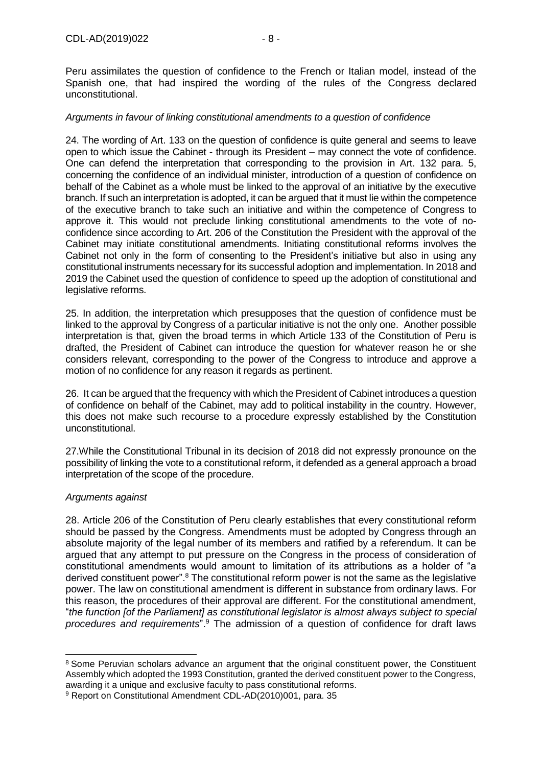Peru assimilates the question of confidence to the French or Italian model, instead of the Spanish one, that had inspired the wording of the rules of the Congress declared unconstitutional.

#### *Arguments in favour of linking constitutional amendments to a question of confidence*

24. The wording of Art. 133 on the question of confidence is quite general and seems to leave open to which issue the Cabinet - through its President – may connect the vote of confidence. One can defend the interpretation that corresponding to the provision in Art. 132 para. 5, concerning the confidence of an individual minister, introduction of a question of confidence on behalf of the Cabinet as a whole must be linked to the approval of an initiative by the executive branch. If such an interpretation is adopted, it can be argued that it must lie within the competence of the executive branch to take such an initiative and within the competence of Congress to approve it. This would not preclude linking constitutional amendments to the vote of noconfidence since according to Art. 206 of the Constitution the President with the approval of the Cabinet may initiate constitutional amendments. Initiating constitutional reforms involves the Cabinet not only in the form of consenting to the President's initiative but also in using any constitutional instruments necessary for its successful adoption and implementation. In 2018 and 2019 the Cabinet used the question of confidence to speed up the adoption of constitutional and legislative reforms.

25. In addition, the interpretation which presupposes that the question of confidence must be linked to the approval by Congress of a particular initiative is not the only one. Another possible interpretation is that, given the broad terms in which Article 133 of the Constitution of Peru is drafted, the President of Cabinet can introduce the question for whatever reason he or she considers relevant, corresponding to the power of the Congress to introduce and approve a motion of no confidence for any reason it regards as pertinent.

26. It can be argued that the frequency with which the President of Cabinet introduces a question of confidence on behalf of the Cabinet, may add to political instability in the country. However, this does not make such recourse to a procedure expressly established by the Constitution unconstitutional.

27.While the Constitutional Tribunal in its decision of 2018 did not expressly pronounce on the possibility of linking the vote to a constitutional reform, it defended as a general approach a broad interpretation of the scope of the procedure.

### *Arguments against*

-

28. Article 206 of the Constitution of Peru clearly establishes that every constitutional reform should be passed by the Congress. Amendments must be adopted by Congress through an absolute majority of the legal number of its members and ratified by a referendum. It can be argued that any attempt to put pressure on the Congress in the process of consideration of constitutional amendments would amount to limitation of its attributions as a holder of "a derived constituent power".<sup>8</sup> The constitutional reform power is not the same as the legislative power. The law on constitutional amendment is different in substance from ordinary laws. For this reason, the procedures of their approval are different. For the constitutional amendment, "*the function [of the Parliament] as constitutional legislator is almost always subject to special procedures and requirements*".<sup>9</sup> The admission of a question of confidence for draft laws

<sup>&</sup>lt;sup>8</sup> Some Peruvian scholars advance an argument that the original constituent power, the Constituent Assembly which adopted the 1993 Constitution, granted the derived constituent power to the Congress, awarding it a unique and exclusive faculty to pass constitutional reforms.

<sup>9</sup> Report on Constitutional Amendment CDL-AD(2010)001, para. 35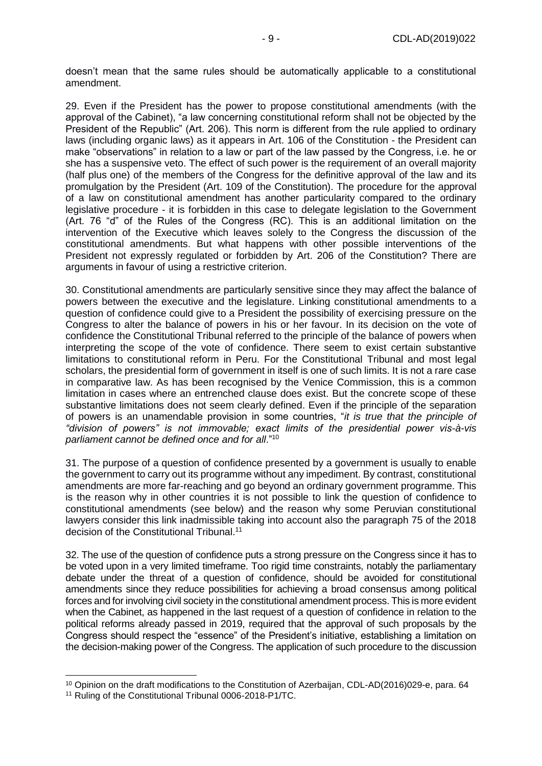doesn't mean that the same rules should be automatically applicable to a constitutional amendment.

29. Even if the President has the power to propose constitutional amendments (with the approval of the Cabinet), "a law concerning constitutional reform shall not be objected by the President of the Republic" (Art. 206). This norm is different from the rule applied to ordinary laws (including organic laws) as it appears in Art. 106 of the Constitution - the President can make "observations" in relation to a law or part of the law passed by the Congress, i.e. he or she has a suspensive veto. The effect of such power is the requirement of an overall majority (half plus one) of the members of the Congress for the definitive approval of the law and its promulgation by the President (Art. 109 of the Constitution). The procedure for the approval of a law on constitutional amendment has another particularity compared to the ordinary legislative procedure - it is forbidden in this case to delegate legislation to the Government (Art. 76 "d" of the Rules of the Congress (RC). This is an additional limitation on the intervention of the Executive which leaves solely to the Congress the discussion of the constitutional amendments. But what happens with other possible interventions of the President not expressly regulated or forbidden by Art. 206 of the Constitution? There are arguments in favour of using a restrictive criterion.

30. Constitutional amendments are particularly sensitive since they may affect the balance of powers between the executive and the legislature. Linking constitutional amendments to a question of confidence could give to a President the possibility of exercising pressure on the Congress to alter the balance of powers in his or her favour. In its decision on the vote of confidence the Constitutional Tribunal referred to the principle of the balance of powers when interpreting the scope of the vote of confidence. There seem to exist certain substantive limitations to constitutional reform in Peru. For the Constitutional Tribunal and most legal scholars, the presidential form of government in itself is one of such limits. It is not a rare case in comparative law. As has been recognised by the Venice Commission, this is a common limitation in cases where an entrenched clause does exist. But the concrete scope of these substantive limitations does not seem clearly defined. Even if the principle of the separation of powers is an unamendable provision in some countries, "*it is true that the principle of "division of powers" is not immovable; exact limits of the presidential power vis-à-vis parliament cannot be defined once and for all*."<sup>10</sup>

31. The purpose of a question of confidence presented by a government is usually to enable the government to carry out its programme without any impediment. By contrast, constitutional amendments are more far-reaching and go beyond an ordinary government programme. This is the reason why in other countries it is not possible to link the question of confidence to constitutional amendments (see below) and the reason why some Peruvian constitutional lawyers consider this link inadmissible taking into account also the paragraph 75 of the 2018 decision of the Constitutional Tribunal.<sup>11</sup>

32. The use of the question of confidence puts a strong pressure on the Congress since it has to be voted upon in a very limited timeframe. Too rigid time constraints, notably the parliamentary debate under the threat of a question of confidence, should be avoided for constitutional amendments since they reduce possibilities for achieving a broad consensus among political forces and for involving civil society in the constitutional amendment process. This is more evident when the Cabinet, as happened in the last request of a question of confidence in relation to the political reforms already passed in 2019, required that the approval of such proposals by the Congress should respect the "essence" of the President's initiative, establishing a limitation on the decision-making power of the Congress. The application of such procedure to the discussion

-

<sup>10</sup> Opinion on the draft modifications to the Constitution of Azerbaijan, CDL-AD(2016)029-e, para. 64

<sup>&</sup>lt;sup>11</sup> Ruling of the Constitutional Tribunal 0006-2018-P1/TC.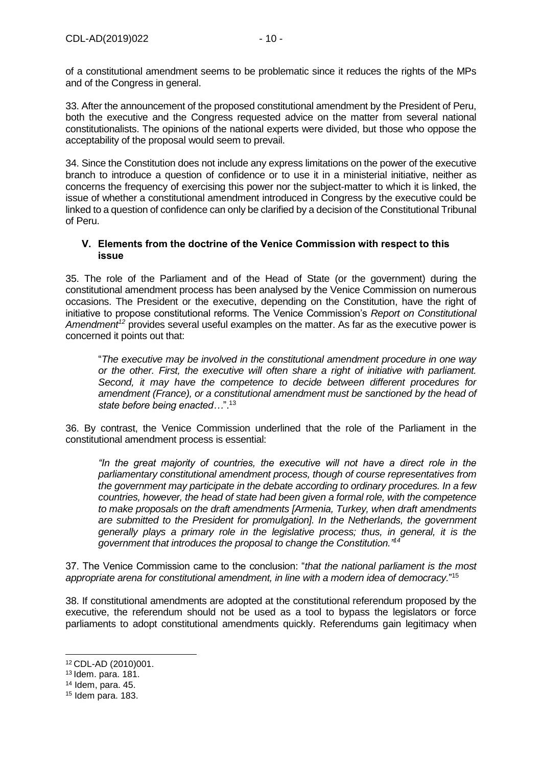of a constitutional amendment seems to be problematic since it reduces the rights of the MPs and of the Congress in general.

33. After the announcement of the proposed constitutional amendment by the President of Peru, both the executive and the Congress requested advice on the matter from several national constitutionalists. The opinions of the national experts were divided, but those who oppose the acceptability of the proposal would seem to prevail.

34. Since the Constitution does not include any express limitations on the power of the executive branch to introduce a question of confidence or to use it in a ministerial initiative, neither as concerns the frequency of exercising this power nor the subject-matter to which it is linked, the issue of whether a constitutional amendment introduced in Congress by the executive could be linked to a question of confidence can only be clarified by a decision of the Constitutional Tribunal of Peru.

### <span id="page-9-0"></span>**V. Elements from the doctrine of the Venice Commission with respect to this issue**

35. The role of the Parliament and of the Head of State (or the government) during the constitutional amendment process has been analysed by the Venice Commission on numerous occasions. The President or the executive, depending on the Constitution, have the right of initiative to propose constitutional reforms. The Venice Commission's *Report on Constitutional Amendment<sup>12</sup>* provides several useful examples on the matter. As far as the executive power is concerned it points out that:

"*The executive may be involved in the constitutional amendment procedure in one way or the other. First, the executive will often share a right of initiative with parliament. Second, it may have the competence to decide between different procedures for amendment (France), or a constitutional amendment must be sanctioned by the head of state before being enacted…*".<sup>13</sup>

36. By contrast, the Venice Commission underlined that the role of the Parliament in the constitutional amendment process is essential:

*"In the great majority of countries, the executive will not have a direct role in the parliamentary constitutional amendment process, though of course representatives from the government may participate in the debate according to ordinary procedures. In a few countries, however, the head of state had been given a formal role, with the competence to make proposals on the draft amendments [Armenia, Turkey, when draft amendments are submitted to the President for promulgation]. In the Netherlands, the government generally plays a primary role in the legislative process; thus, in general, it is the government that introduces the proposal to change the Constitution."<sup>14</sup>*

37. The Venice Commission came to the conclusion: "*that the national parliament is the most appropriate arena for constitutional amendment, in line with a modern idea of democracy.*" 15

38. If constitutional amendments are adopted at the constitutional referendum proposed by the executive, the referendum should not be used as a tool to bypass the legislators or force parliaments to adopt constitutional amendments quickly. Referendums gain legitimacy when

-

<sup>12</sup> CDL-AD (2010)001.

<sup>13</sup> Idem. para. 181.

 $14$  Idem, para. 45.

<sup>15</sup> Idem para. 183.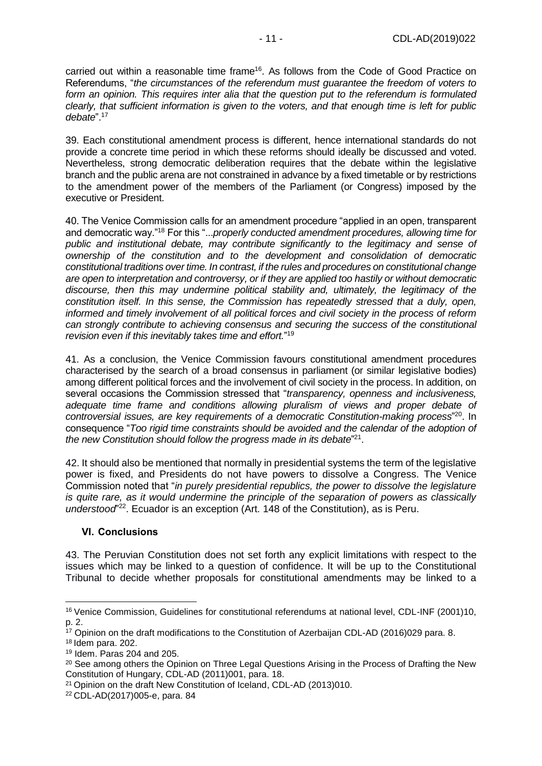carried out within a reasonable time frame<sup>16</sup>. As follows from the Code of Good Practice on Referendums, "*the circumstances of the referendum must guarantee the freedom of voters to form an opinion. This requires inter alia that the question put to the referendum is formulated clearly, that sufficient information is given to the voters, and that enough time is left for public debate*".<sup>17</sup>

39. Each constitutional amendment process is different, hence international standards do not provide a concrete time period in which these reforms should ideally be discussed and voted. Nevertheless, strong democratic deliberation requires that the debate within the legislative branch and the public arena are not constrained in advance by a fixed timetable or by restrictions to the amendment power of the members of the Parliament (or Congress) imposed by the executive or President.

40. The Venice Commission calls for an amendment procedure "applied in an open, transparent and democratic way."<sup>18</sup> For this "...*properly conducted amendment procedures, allowing time for public and institutional debate, may contribute significantly to the legitimacy and sense of ownership of the constitution and to the development and consolidation of democratic constitutional traditions over time. In contrast, if the rules and procedures on constitutional change are open to interpretation and controversy, or if they are applied too hastily or without democratic discourse, then this may undermine political stability and, ultimately, the legitimacy of the constitution itself. In this sense, the Commission has repeatedly stressed that a duly, open, informed and timely involvement of all political forces and civil society in the process of reform can strongly contribute to achieving consensus and securing the success of the constitutional revision even if this inevitably takes time and effort.*" 19

41. As a conclusion, the Venice Commission favours constitutional amendment procedures characterised by the search of a broad consensus in parliament (or similar legislative bodies) among different political forces and the involvement of civil society in the process. In addition, on several occasions the Commission stressed that "*transparency, openness and inclusiveness, adequate time frame and conditions allowing pluralism of views and proper debate of controversial issues, are key requirements of a democratic Constitution-making process*" <sup>20</sup>. In consequence "*Too rigid time constraints should be avoided and the calendar of the adoption of the new Constitution should follow the progress made in its debate*" 21 .

42. It should also be mentioned that normally in presidential systems the term of the legislative power is fixed, and Presidents do not have powers to dissolve a Congress. The Venice Commission noted that "*in purely presidential republics, the power to dissolve the legislature is quite rare, as it would undermine the principle of the separation of powers as classically understood*" <sup>22</sup>. Ecuador is an exception (Art. 148 of the Constitution), as is Peru.

### <span id="page-10-0"></span>**VI. Conclusions**

43. The Peruvian Constitution does not set forth any explicit limitations with respect to the issues which may be linked to a question of confidence. It will be up to the Constitutional Tribunal to decide whether proposals for constitutional amendments may be linked to a

<sup>-</sup><sup>16</sup> Venice Commission, Guidelines for constitutional referendums at national level, CDL-INF (2001)10, p. 2.

<sup>&</sup>lt;sup>17</sup> Opinion on the draft modifications to the Constitution of Azerbaijan CDL-AD (2016)029 para. 8.

<sup>18</sup> Idem para. 202.

<sup>19</sup> Idem. Paras 204 and 205.

<sup>&</sup>lt;sup>20</sup> See among others the Opinion on Three Legal Questions Arising in the Process of Drafting the New Constitution of Hungary, CDL-AD (2011)001, para. 18.

<sup>&</sup>lt;sup>21</sup> Opinion on the draft New Constitution of Iceland, CDL-AD (2013)010.

<sup>22</sup> CDL-AD(2017)005-e, para. 84